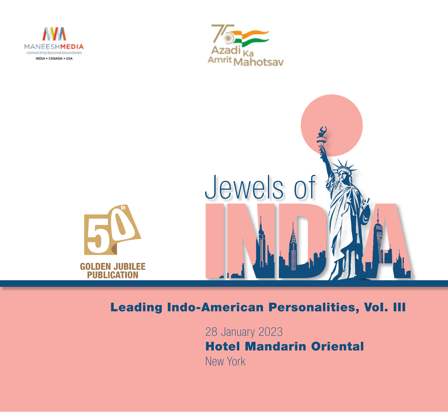





# Leading Indo-American Personalities, VoI. III

28 January 2023 Hotel Mandarin Oriental New York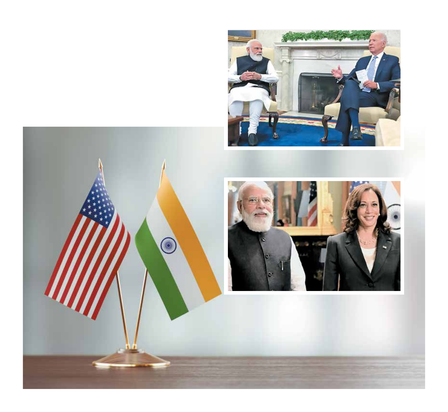



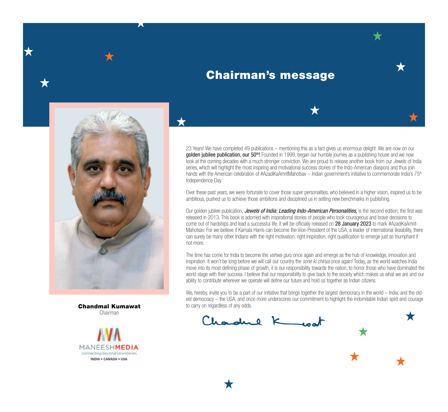### Chairman's message



7.7

Chairman





golden jubilee publication, our 50<sup>th</sup>! Founded in 1999, began our humble journey as a publishing house and we now look at the coming decades with a much stronger conviction. We are proud to release another book from our Jewels of India series, which will highlight the most inspiring and motivational success stories of the Indo-American diaspora and thus join hands with the American celebration of #AzadiKaAmritMahotsav – Indian government's initiative to commemorate India's 75<sup>th</sup> Independence Day.

Over these past years, we were fortunate to cover those super personalities, who believed in a higher vision, inspired us to be ambitious, pushed us to achieve those ambitions and disciplined us in setting new benchmarks in publishing.

Our golden jubilee publication, *Jewels of India: Leading Indo-American Personalities*, is the second edition; the first was released in 2013. This book is adorned with inspirational stories of people who took courageous and brave decisions to come out of hardships and lead a successful life. It will be officially released on 28 January 2023 to mark #AzadiKaAmrit-Mahotsav. For we believe if Kamala Harris can become the Vice-President of the USA, a leader of international likeability, there can surely be many other Indians with the right motivation, right inspiration, right qualification to emerge just as triumphant if not more.

The time has come for India to become the *vishwa guru* once again and emerge as the hub of knowledge, innovation and inspiration. It won't be long before we will call our country the *sone ki chiriya* once again! Today, as the world watches India move into its most defining phase of growth, it is our responsibility towards the nation, to honor those who have dominated the world stage with their success. I believe that our responsibility to give back to the society which makes us what we are and our ability to contribute wherever we operate will define our future and hold us together as Indian citizens.

We, hereby, invite you to be a part of our initiative that brings together the largest democracy in the world – India, and the oldest democracy – the USA, and once more underscores our commitment to highlight the indomitable Indian spirit and courage **Chandmal Kumawat** to carry on regardless of any odds.

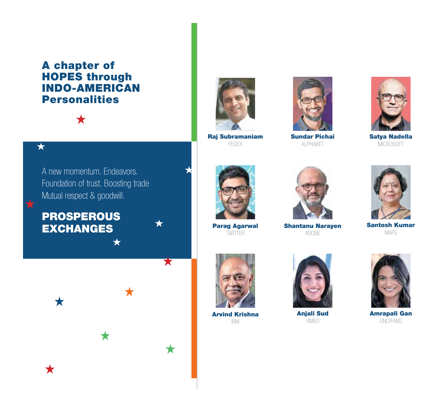### A chapter of HOPES through INDO-AMERICAN **Personalities**



 $\overline{\star}$ 



Raj Subramaniam FEDEX



Sundar Pichai ALPHABET



Satya Nadella MICROSOFT



PROSPEROUS EXCHANGES



Parag Agarwal **TWITTER** 



Shantanu Narayen ADOBE



Santosh Kumar MAFS



 $\bigstar$ 



Arvind Krishna IBM



Anjali Sud VIMEO



Amrapali Gan ONI YFANS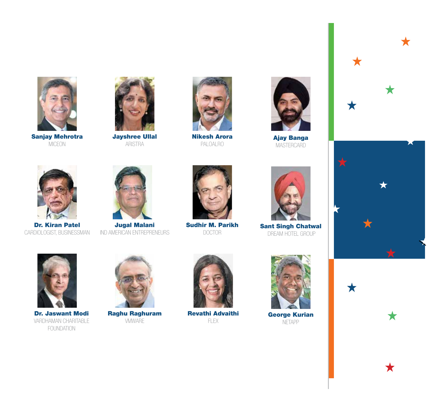

Sanjay Mehrotra MICEON



Jayshree Ullal ARISTRA



Nikesh Arora PALOALRO



Ajay Banga **MASTERCARD** 



Sant Singh Chatwal DREAM HOTEL GROUP





Dr. Kiran Patel CARDIOLOGIST, BUSINESSMAN



Jugal Malani IND AMERICAN ENTREPRENEURS



Sudhir M. Parikh DOCTOR





Dr. Jaswant Modi VARDHAMAN CHARITABLE FOUNDATION



Raghu Raghuram VMWARE



Revathi Advaithi FLEX



George Kurian NETAPP



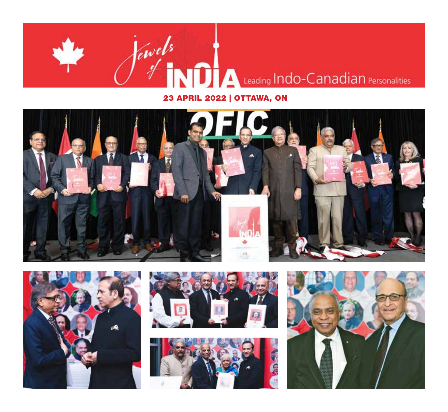

23 APRIL 2022 | OTTAWA, ON









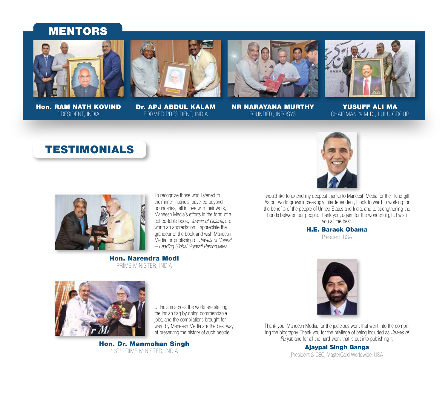#### MENTORS



Hon. RAM NATH KOVIND PRESIDENT, INDIA



Dr. APJ ABDUL KALAM FORMER PRESIDENT, INDIA



NR NARAYANA MURTHY FOUNDER, INFOSYS



YUSUFF ALI MA CHAIRMAN & M.D., LULU GROUP

### TESTIMONIALS



To recognise those who listened to their inner instincts, travelled beyond boundaries, fell in love with their work, Maneesh Media's efforts in the form of a coffee-table book, Jewels of Gujarat, are worth an appreciation. I appreciate the grandeur of the book and wish Maneesh Media for publishing of Jewels of Gujarat – Leading Global Gujarati Personalities.



I would like to extend my deepest thanks to Maneesh Media for their kind gift. As our world grows increasingly interdependent, I look forward to working for the benefits of the people of United States and India, and to strengthening the bonds between our people. Thank you, again, for the wonderful gift. I wish you all the best.

> H.E. Barack Obama President, USA

Hon. Narendra Modi

PRIME MINISTER, INDIA



... Indians across the world are staffing the Indian flag by doing commendable jobs, and the compilations brought forward by Maneesh Media are the best way of preserving the history of such people.

Hon. Dr. Manmohan Singh 13TH PRIME MINISTER, INDIA



Thank you, Maneesh Media, for the judicious work that went into the compiling the biography. Thank you for the privilege of being included as Jewels of Punjab and for all the hard-work that is put into publishing it.

> Ajaypal Singh Banga President & CEO, MasterCard Worldwide, USA